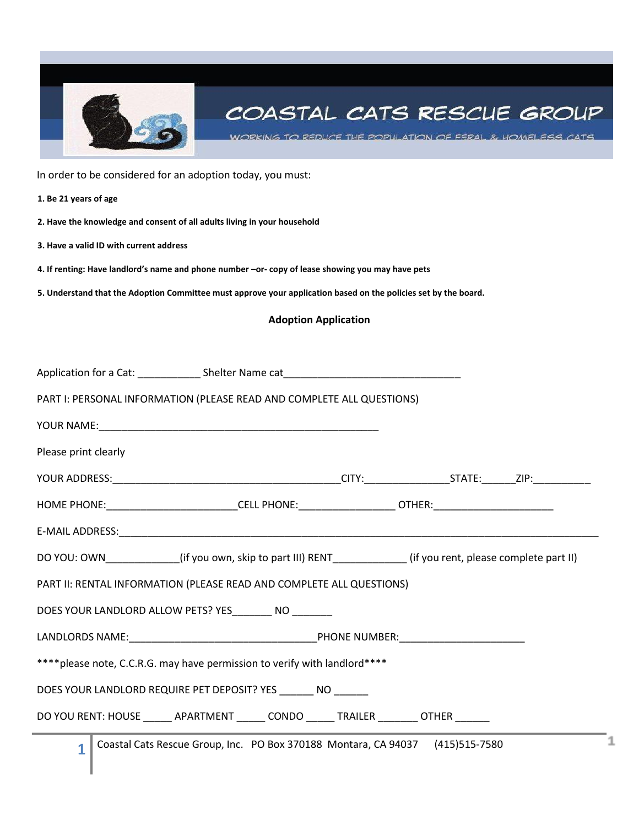

# COASTAL CATS RESCUE GROUP

WORKING TO REDUCE THE POPULATION OF FERAL & HOMELESS CATS

In order to be considered for an adoption today, you must:

**1. Be 21 years of age** 

**2. Have the knowledge and consent of all adults living in your household** 

**3. Have a valid ID with current address** 

**4. If renting: Have landlord's name and phone number –or- copy of lease showing you may have pets** 

**5. Understand that the Adoption Committee must approve your application based on the policies set by the board.** 

### **Adoption Application**

| PART I: PERSONAL INFORMATION (PLEASE READ AND COMPLETE ALL QUESTIONS)                  |  |                                                                                                          |  |  |  |  |
|----------------------------------------------------------------------------------------|--|----------------------------------------------------------------------------------------------------------|--|--|--|--|
|                                                                                        |  |                                                                                                          |  |  |  |  |
| Please print clearly                                                                   |  |                                                                                                          |  |  |  |  |
|                                                                                        |  |                                                                                                          |  |  |  |  |
|                                                                                        |  |                                                                                                          |  |  |  |  |
|                                                                                        |  |                                                                                                          |  |  |  |  |
|                                                                                        |  | DO YOU: OWN___________(if you own, skip to part III) RENT_________(if you rent, please complete part II) |  |  |  |  |
| PART II: RENTAL INFORMATION (PLEASE READ AND COMPLETE ALL QUESTIONS)                   |  |                                                                                                          |  |  |  |  |
| DOES YOUR LANDLORD ALLOW PETS? YES NO                                                  |  |                                                                                                          |  |  |  |  |
|                                                                                        |  |                                                                                                          |  |  |  |  |
| **** please note, C.C.R.G. may have permission to verify with landlord****             |  |                                                                                                          |  |  |  |  |
| DOES YOUR LANDLORD REQUIRE PET DEPOSIT? YES NO                                         |  |                                                                                                          |  |  |  |  |
| DO YOU RENT: HOUSE ______ APARTMENT ______ CONDO ______ TRAILER ________ OTHER _______ |  |                                                                                                          |  |  |  |  |
| $\overline{1}$                                                                         |  | Coastal Cats Rescue Group, Inc. PO Box 370188 Montara, CA 94037 (415)515-7580                            |  |  |  |  |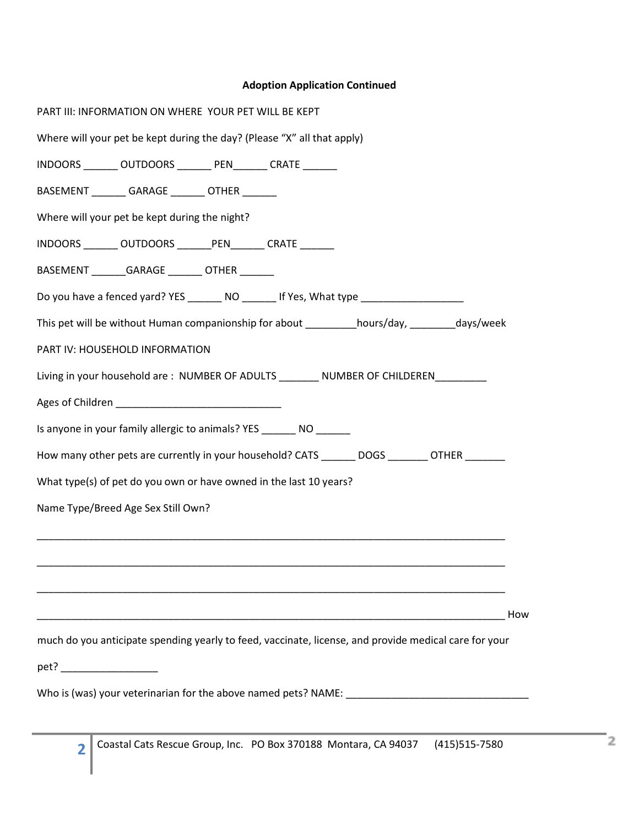## **Adoption Application Continued**

| PART III: INFORMATION ON WHERE YOUR PET WILL BE KEPT                                                  |
|-------------------------------------------------------------------------------------------------------|
| Where will your pet be kept during the day? (Please "X" all that apply)                               |
| INDOORS ________ OUTDOORS ________ PEN_______ CRATE _______                                           |
| BASEMENT _________ GARAGE ________ OTHER _______                                                      |
| Where will your pet be kept during the night?                                                         |
| INDOORS ________ OUTDOORS _______ PEN _______ CRATE _______                                           |
| BASEMENT ________ GARAGE ________ OTHER _______                                                       |
| Do you have a fenced yard? YES _________ NO ________ If Yes, What type ____________________________   |
| This pet will be without Human companionship for about _________hours/day, _______days/week           |
| PART IV: HOUSEHOLD INFORMATION                                                                        |
| Living in your household are: NUMBER OF ADULTS NUMBER OF CHILDEREN                                    |
|                                                                                                       |
| Is anyone in your family allergic to animals? YES ________ NO _______                                 |
| How many other pets are currently in your household? CATS _________DOGS _________OTHER _________      |
| What type(s) of pet do you own or have owned in the last 10 years?                                    |
| Name Type/Breed Age Sex Still Own?                                                                    |
|                                                                                                       |
|                                                                                                       |
|                                                                                                       |
| How                                                                                                   |
| much do you anticipate spending yearly to feed, vaccinate, license, and provide medical care for your |
| pet? ___________________                                                                              |
|                                                                                                       |
|                                                                                                       |

**2**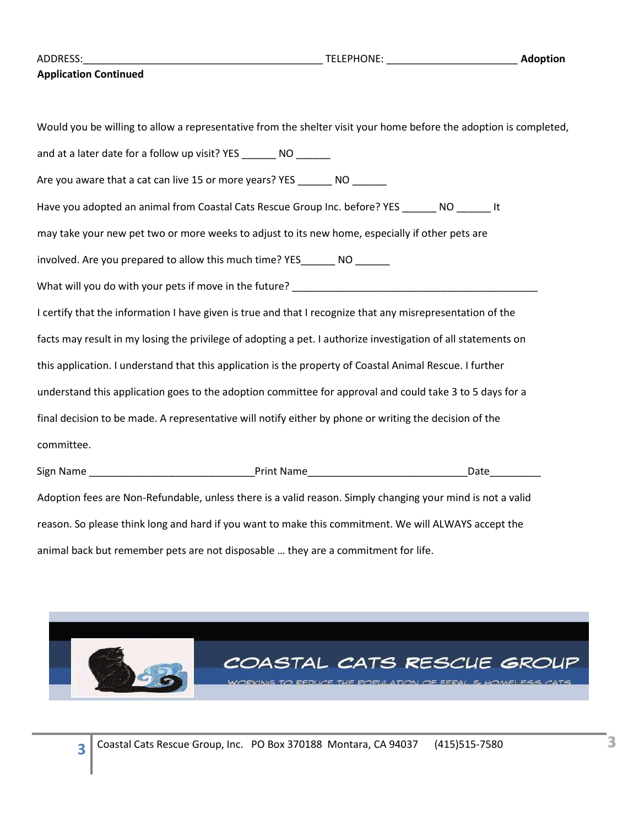|  |  | ADDRESS: |  |
|--|--|----------|--|
|--|--|----------|--|

#### **Application Continued**

Would you be willing to allow a representative from the shelter visit your home before the adoption is completed, and at a later date for a follow up visit? YES \_\_\_\_\_\_\_ NO \_\_\_\_\_\_ Are you aware that a cat can live 15 or more years? YES \_\_\_\_\_\_\_ NO \_\_\_\_\_\_ Have you adopted an animal from Coastal Cats Rescue Group Inc. before? YES \_\_\_\_\_\_ NO \_\_\_\_\_\_ It may take your new pet two or more weeks to adjust to its new home, especially if other pets are involved. Are you prepared to allow this much time? YES The NO What will you do with your pets if move in the future? I certify that the information I have given is true and that I recognize that any misrepresentation of the facts may result in my losing the privilege of adopting a pet. I authorize investigation of all statements on this application. I understand that this application is the property of Coastal Animal Rescue. I further understand this application goes to the adoption committee for approval and could take 3 to 5 days for a final decision to be made. A representative will notify either by phone or writing the decision of the committee. Sign Name **Date Sign Name Date Contract Contract Print Name Contract Contract Contract Contract Contract Contract Contract Contract Contract Contract Contract Contract Contract Contract Contract Contract Contract C** Adoption fees are Non-Refundable, unless there is a valid reason. Simply changing your mind is not a valid reason. So please think long and hard if you want to make this commitment. We will ALWAYS accept the animal back but remember pets are not disposable … they are a commitment for life.

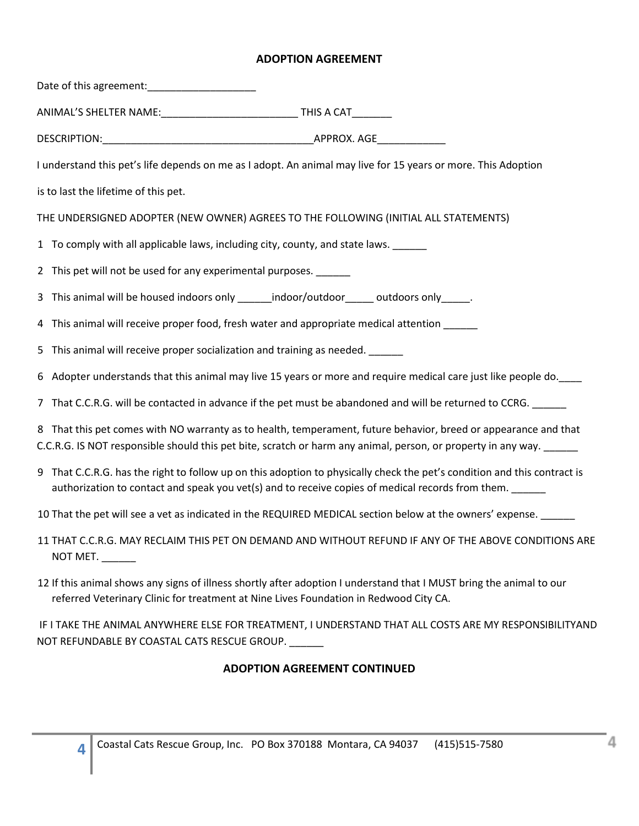## **ADOPTION AGREEMENT**

| I understand this pet's life depends on me as I adopt. An animal may live for 15 years or more. This Adoption                                                                                                                           |                                                                                                       |
|-----------------------------------------------------------------------------------------------------------------------------------------------------------------------------------------------------------------------------------------|-------------------------------------------------------------------------------------------------------|
| is to last the lifetime of this pet.                                                                                                                                                                                                    |                                                                                                       |
| THE UNDERSIGNED ADOPTER (NEW OWNER) AGREES TO THE FOLLOWING (INITIAL ALL STATEMENTS)                                                                                                                                                    |                                                                                                       |
| 1 To comply with all applicable laws, including city, county, and state laws.                                                                                                                                                           |                                                                                                       |
| 2 This pet will not be used for any experimental purposes.                                                                                                                                                                              |                                                                                                       |
| 3 This animal will be housed indoors only _______indoor/outdoor ______ outdoors only ______.                                                                                                                                            |                                                                                                       |
| 4 This animal will receive proper food, fresh water and appropriate medical attention _____                                                                                                                                             |                                                                                                       |
| 5 This animal will receive proper socialization and training as needed. ______                                                                                                                                                          |                                                                                                       |
| 6 Adopter understands that this animal may live 15 years or more and require medical care just like people do.                                                                                                                          |                                                                                                       |
| 7 That C.C.R.G. will be contacted in advance if the pet must be abandoned and will be returned to CCRG. _____                                                                                                                           |                                                                                                       |
| 8 That this pet comes with NO warranty as to health, temperament, future behavior, breed or appearance and that<br>C.C.R.G. IS NOT responsible should this pet bite, scratch or harm any animal, person, or property in any way. ______ |                                                                                                       |
| 9 That C.C.R.G. has the right to follow up on this adoption to physically check the pet's condition and this contract is<br>authorization to contact and speak you vet(s) and to receive copies of medical records from them.           |                                                                                                       |
| 10 That the pet will see a vet as indicated in the REQUIRED MEDICAL section below at the owners' expense.                                                                                                                               |                                                                                                       |
| NOT MET.                                                                                                                                                                                                                                | 11 THAT C.C.R.G. MAY RECLAIM THIS PET ON DEMAND AND WITHOUT REFUND IF ANY OF THE ABOVE CONDITIONS ARE |
| 12 If this animal shows any signs of illness shortly after adoption I understand that I MUST bring the animal to our<br>referred Veterinary Clinic for treatment at Nine Lives Foundation in Redwood City CA.                           |                                                                                                       |

IF I TAKE THE ANIMAL ANYWHERE ELSE FOR TREATMENT, I UNDERSTAND THAT ALL COSTS ARE MY RESPONSIBILITYAND NOT REFUNDABLE BY COASTAL CATS RESCUE GROUP. \_\_\_\_\_\_

# **ADOPTION AGREEMENT CONTINUED**

**4**